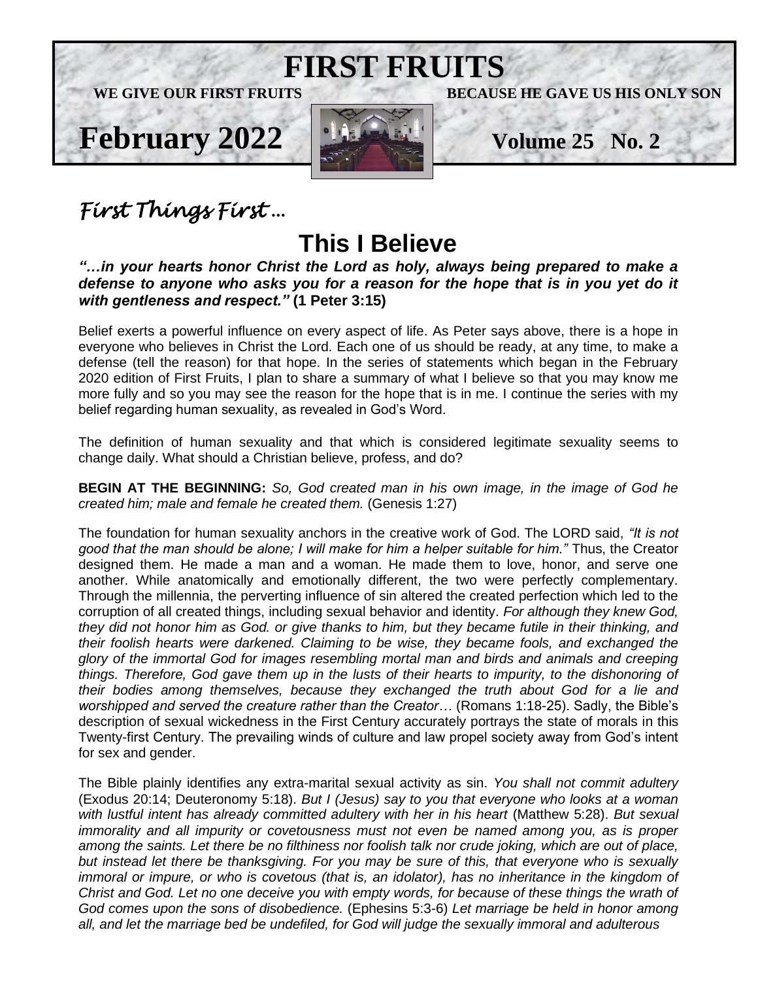

# *First Things First* …

# **This I Believe**

*"…in your hearts honor Christ the Lord as holy, always being prepared to make a defense to anyone who asks you for a reason for the hope that is in you yet do it with gentleness and respect."* **(1 Peter 3:15)**

Belief exerts a powerful influence on every aspect of life. As Peter says above, there is a hope in everyone who believes in Christ the Lord. Each one of us should be ready, at any time, to make a defense (tell the reason) for that hope. In the series of statements which began in the February 2020 edition of First Fruits, I plan to share a summary of what I believe so that you may know me more fully and so you may see the reason for the hope that is in me. I continue the series with my belief regarding human sexuality, as revealed in God's Word.

The definition of human sexuality and that which is considered legitimate sexuality seems to change daily. What should a Christian believe, profess, and do?

**BEGIN AT THE BEGINNING:** *So, God created man in his own image, in the image of God he created him; male and female he created them.* (Genesis 1:27)

The foundation for human sexuality anchors in the creative work of God. The LORD said, *"It is not good that the man should be alone; I will make for him a helper suitable for him."* Thus, the Creator designed them. He made a man and a woman. He made them to love, honor, and serve one another. While anatomically and emotionally different, the two were perfectly complementary. Through the millennia, the perverting influence of sin altered the created perfection which led to the corruption of all created things, including sexual behavior and identity. *For although they knew God, they did not honor him as God. or give thanks to him, but they became futile in their thinking, and their foolish hearts were darkened. Claiming to be wise, they became fools, and exchanged the glory of the immortal God for images resembling mortal man and birds and animals and creeping things. Therefore, God gave them up in the lusts of their hearts to impurity, to the dishonoring of their bodies among themselves, because they exchanged the truth about God for a lie and worshipped and served the creature rather than the Creator…* (Romans 1:18-25). Sadly, the Bible's description of sexual wickedness in the First Century accurately portrays the state of morals in this Twenty-first Century. The prevailing winds of culture and law propel society away from God's intent for sex and gender.

The Bible plainly identifies any extra-marital sexual activity as sin. *You shall not commit adultery*  (Exodus 20:14; Deuteronomy 5:18). *But I (Jesus) say to you that everyone who looks at a woman with lustful intent has already committed adultery with her in his heart* (Matthew 5:28). *But sexual immorality and all impurity or covetousness must not even be named among you, as is proper among the saints. Let there be no filthiness nor foolish talk nor crude joking, which are out of place, but instead let there be thanksgiving. For you may be sure of this, that everyone who is sexually*  immoral or impure, or who is covetous (that is, an idolator), has no inheritance in the kingdom of *Christ and God. Let no one deceive you with empty words, for because of these things the wrath of God comes upon the sons of disobedience.* (Ephesins 5:3-6) *Let marriage be held in honor among all, and let the marriage bed be undefiled, for God will judge the sexually immoral and adulterous*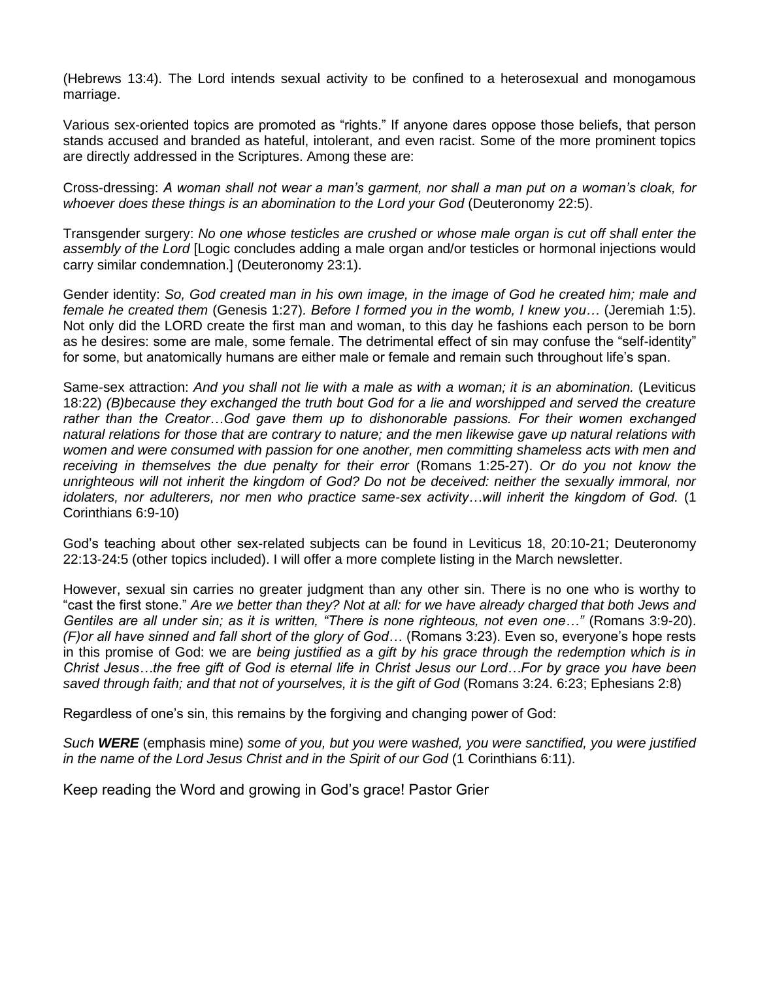(Hebrews 13:4). The Lord intends sexual activity to be confined to a heterosexual and monogamous marriage.

Various sex-oriented topics are promoted as "rights." If anyone dares oppose those beliefs, that person stands accused and branded as hateful, intolerant, and even racist. Some of the more prominent topics are directly addressed in the Scriptures. Among these are:

Cross-dressing: *A woman shall not wear a man's garment, nor shall a man put on a woman's cloak, for whoever does these things is an abomination to the Lord your God* (Deuteronomy 22:5).

Transgender surgery: *No one whose testicles are crushed or whose male organ is cut off shall enter the assembly of the Lord* [Logic concludes adding a male organ and/or testicles or hormonal injections would carry similar condemnation.] (Deuteronomy 23:1).

Gender identity: *So, God created man in his own image, in the image of God he created him; male and female he created them* (Genesis 1:27)*. Before I formed you in the womb, I knew you…* (Jeremiah 1:5). Not only did the LORD create the first man and woman, to this day he fashions each person to be born as he desires: some are male, some female. The detrimental effect of sin may confuse the "self-identity" for some, but anatomically humans are either male or female and remain such throughout life's span.

Same-sex attraction: *And you shall not lie with a male as with a woman; it is an abomination.* (Leviticus 18:22) *(B)because they exchanged the truth bout God for a lie and worshipped and served the creature rather than the Creator…God gave them up to dishonorable passions. For their women exchanged natural relations for those that are contrary to nature; and the men likewise gave up natural relations with women and were consumed with passion for one another, men committing shameless acts with men and receiving in themselves the due penalty for their error* (Romans 1:25-27). *Or do you not know the unrighteous will not inherit the kingdom of God? Do not be deceived: neither the sexually immoral, nor idolaters, nor adulterers, nor men who practice same-sex activity…will inherit the kingdom of God.* (1 Corinthians 6:9-10)

God's teaching about other sex-related subjects can be found in Leviticus 18, 20:10-21; Deuteronomy 22:13-24:5 (other topics included). I will offer a more complete listing in the March newsletter.

However, sexual sin carries no greater judgment than any other sin. There is no one who is worthy to "cast the first stone." *Are we better than they? Not at all: for we have already charged that both Jews and Gentiles are all under sin; as it is written, "There is none righteous, not even one…"* (Romans 3:9-20). *(F)or all have sinned and fall short of the glory of God…* (Romans 3:23). Even so, everyone's hope rests in this promise of God: we are *being justified as a gift by his grace through the redemption which is in Christ Jesus…the free gift of God is eternal life in Christ Jesus our Lord…For by grace you have been saved through faith; and that not of yourselves, it is the gift of God* (Romans 3:24. 6:23; Ephesians 2:8)

Regardless of one's sin, this remains by the forgiving and changing power of God:

*Such WERE* (emphasis mine) *some of you, but you were washed, you were sanctified, you were justified in the name of the Lord Jesus Christ and in the Spirit of our God* (1 Corinthians 6:11).

Keep reading the Word and growing in God's grace! Pastor Grier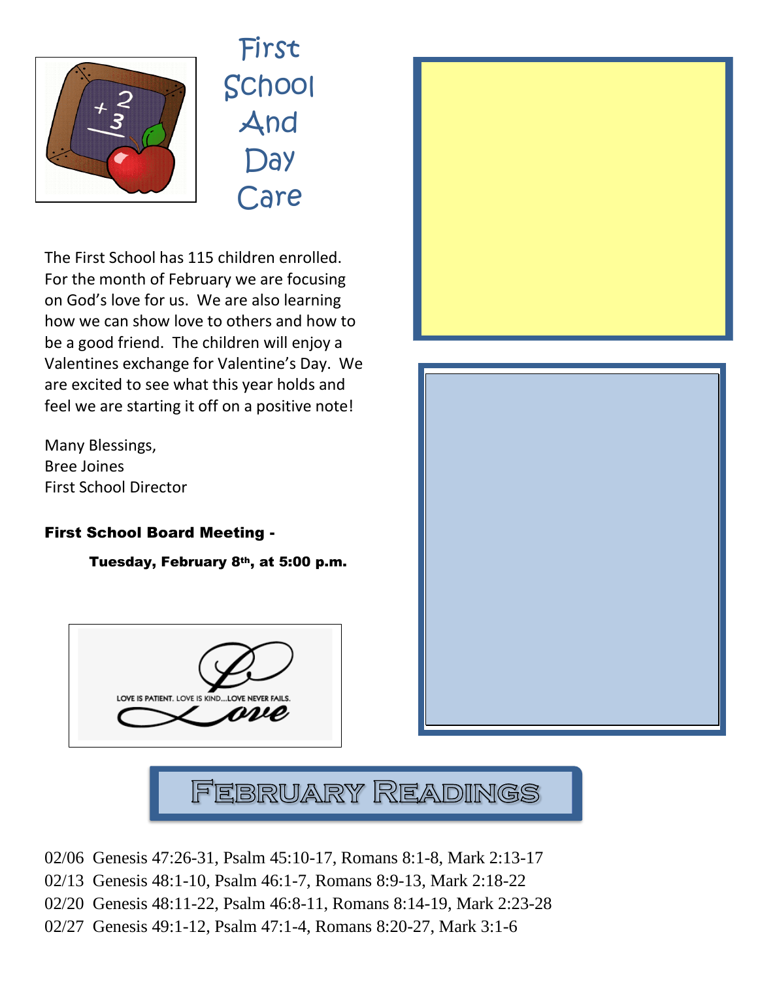

First School And **Day** Care

The First School has 115 children enrolled. For the month of February we are focusing on God's love for us. We are also learning how we can show love to others and how to be a good friend. The children will enjoy a Valentines exchange for Valentine's Day. We are excited to see what this year holds and feel we are starting it off on a positive note! ews

Many Blessings, Bree Joines First School Director

## First School Board Meeting -

Tuesday, February 8th, at 5:00 p.m.







February Readings

- 02/06 Genesis 47:26-31, Psalm 45:10-17, Romans 8:1-8, Mark 2:13-17
- 02/13 Genesis 48:1-10, Psalm 46:1-7, Romans 8:9-13, Mark 2:18-22
- 02/20 Genesis 48:11-22, Psalm 46:8-11, Romans 8:14-19, Mark 2:23-28
- 02/27 Genesis 49:1-12, Psalm 47:1-4, Romans 8:20-27, Mark 3:1-6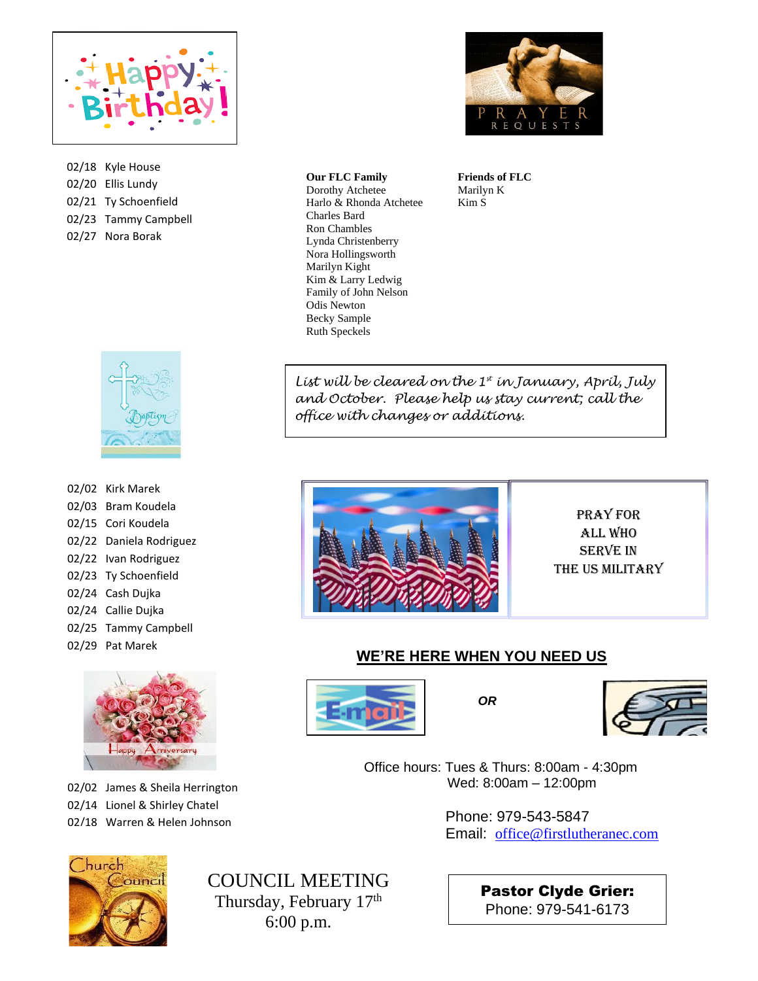

02/18 Kyle House 02/20 Ellis Lundy 02/21 Ty Schoenfield 02/23 Tammy Campbell 02/27 Nora Borak



02/02 Kirk Marek 02/03 Bram Koudela 02/15 Cori Koudela 02/22 Daniela Rodriguez 02/22 Ivan Rodriguez 02/23 Ty Schoenfield 02/24 Cash Dujka 02/24 Callie Dujka 02/25 Tammy Campbell 02/29 Pat Marek



02/02 James & Sheila Herrington 02/14 Lionel & Shirley Chatel 02/18 Warren & Helen Johnson



*COUNCILMEETING* Thursday, February 17<sup>th</sup> 6:00 p.m.



 Harlo & Rhonda Atchetee **Our FLC Family** Dorothy Atchetee Charles Bard Ron Chambles Lynda Christenberry Nora Hollingsworth Marilyn Kight Kim & Larry Ledwig Family of John Nelson Odis Newton Becky Sample Ruth Speckels

**Friends of FLC** Marilyn K Kim S

*List will be cleared on the 1st in January, April, July and October. Please help us stay current; call the office with changes or additions.*



Pray for All Who **SERVE IN** the US Military

#### **WE'RE HERE WHEN YOU NEED US**





 Office hours: Tues & Thurs: 8:00am - 4:30pm Wed: 8:00am – 12:00pm

> Phone: 979-543-5847 Email: [office@firstlutheranec.com](mailto:office@firstlutheranec.com)

> > Pastor Clyde Grier: Phone: 979-541-6173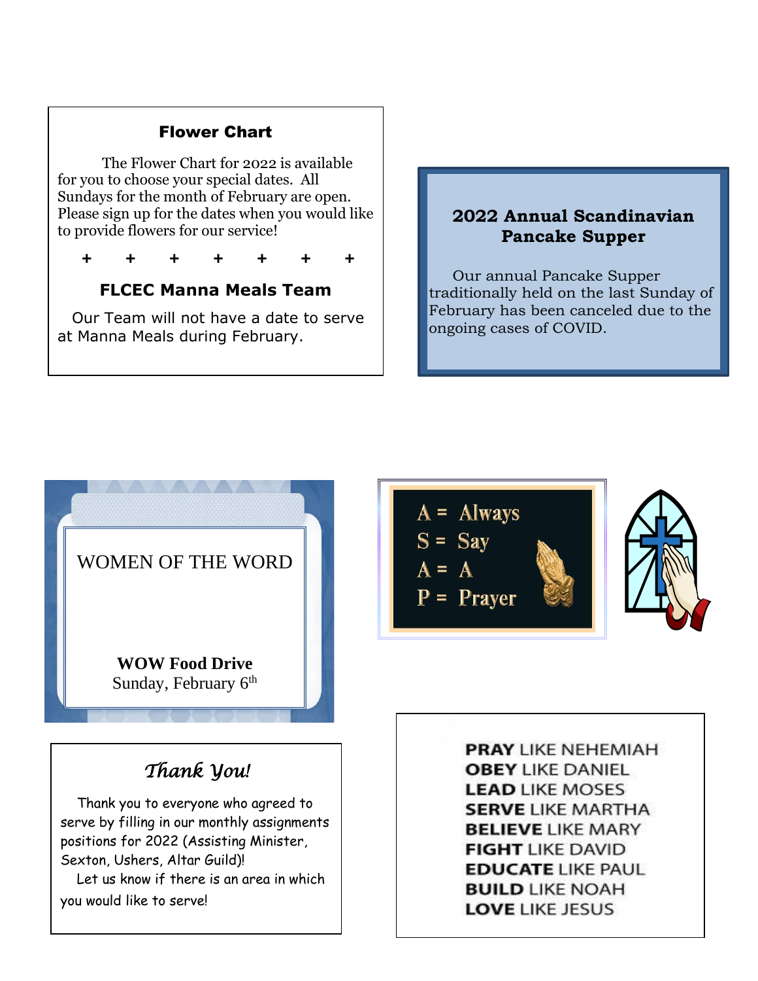### Flower Chart

The Flower Chart for 2022 is available for you to choose your special dates. All Sundays for the month of February are open. Please sign up for the dates when you would like to provide flowers for our service!

**+ + + + + + +**

## **FLCEC Manna Meals Team**

 Our Team will not have a date to serve at Manna Meals during February.

### **2022 Annual Scandinavian Pancake Supper**

 Our annual Pancake Supper traditionally held on the last Sunday of February has been canceled due to the ongoing cases of COVID.



 Thank you to everyone who agreed to serve by filling in our monthly assignments positions for 2022 (Assisting Minister, Sexton, Ushers, Altar Guild)! Let us know if there is an area in which you would like to serve!



l

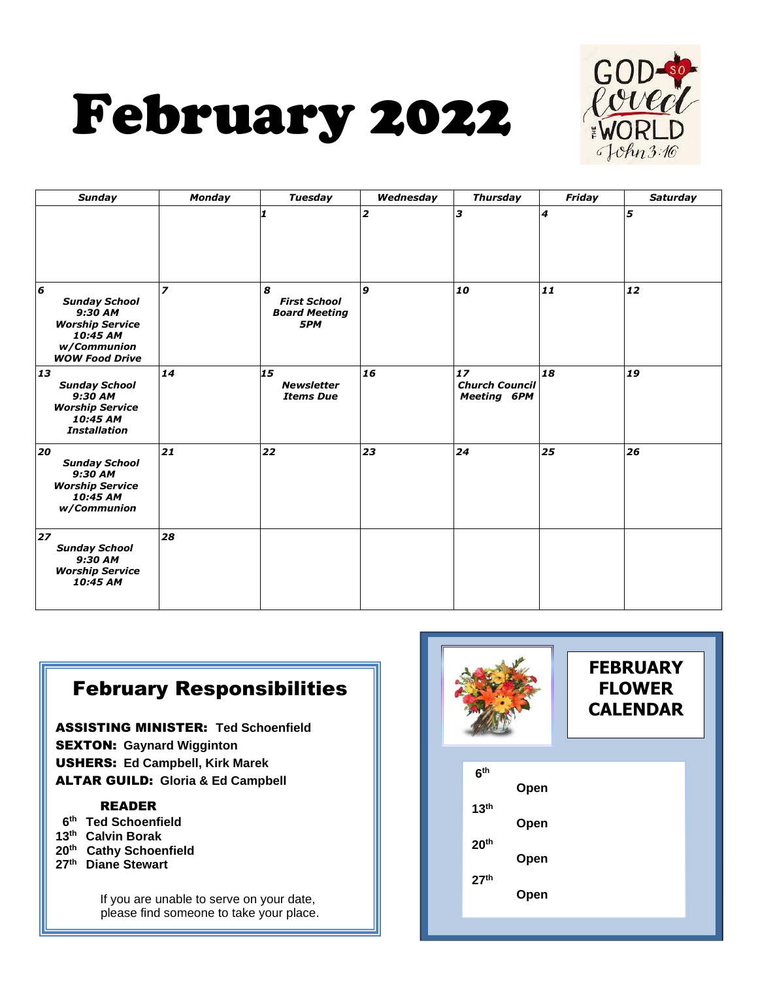



| <b>Sunday</b>                                                                                                                     | Monday                   | Tuesday                                                 | Wednesday               | <b>Thursday</b>                                   | Friday                      | <b>Saturday</b> |
|-----------------------------------------------------------------------------------------------------------------------------------|--------------------------|---------------------------------------------------------|-------------------------|---------------------------------------------------|-----------------------------|-----------------|
|                                                                                                                                   |                          | 1                                                       | $\overline{\mathbf{z}}$ | lз                                                | $\overline{\boldsymbol{4}}$ | 5               |
| $\boldsymbol{6}$<br><b>Sunday School</b><br>9:30 AM<br><b>Worship Service</b><br>10:45 AM<br>w/Communion<br><b>WOW Food Drive</b> | $\overline{\phantom{a}}$ | 8<br><b>First School</b><br><b>Board Meeting</b><br>5PM | 9                       | 10                                                | 11                          | 12              |
| 13<br><b>Sunday School</b><br>9:30 AM<br><b>Worship Service</b><br>10:45 AM<br><b>Installation</b>                                | 14                       | 15<br><b>Newsletter</b><br><b>Items Due</b>             | 16                      | 17<br><b>Church Council</b><br><b>Meeting 6PM</b> | 18                          | 19              |
| 20<br><b>Sunday School</b><br>9:30 AM<br><b>Worship Service</b><br>10:45 AM<br>w/Communion                                        | 21                       | 22                                                      | 23                      | 24                                                | 25                          | 26              |
| 27<br><b>Sunday School</b><br>9:30 AM<br><b>Worship Service</b><br>10:45 AM                                                       | 28                       |                                                         |                         |                                                   |                             |                 |

# February Responsibilities

ASSISTING MINISTER: **Ted Schoenfield** SEXTON: **Gaynard Wigginton**  USHERS: **Ed Campbell, Kirk Marek**  ALTAR GUILD: **Gloria & Ed Campbell**

#### READER

- **6 th Ted Schoenfield**
- **13 th Calvin Borak**
- **20 th Cathy Schoenfield**
- **27 th Diane Stewart**

If you are unable to serve on your date, please find someone to take your place.